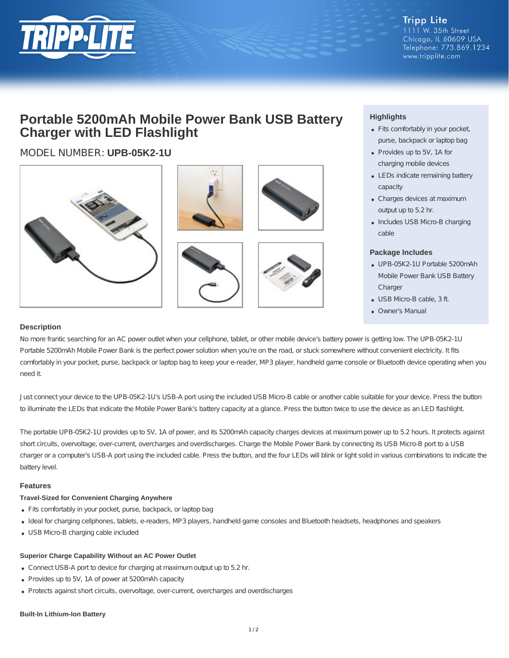

# **Portable 5200mAh Mobile Power Bank USB Battery Charger with LED Flashlight**

## MODEL NUMBER: **UPB-05K2-1U**



### **Highlights**

- Fits comfortably in your pocket, purse, backpack or laptop bag
- Provides up to 5V, 1A for charging mobile devices
- LEDs indicate remaining battery capacity
- Charges devices at maximum output up to 5.2 hr.
- Includes USB Micro-B charging cable

#### **Package Includes**

- UPB-05K2-1U Portable 5200mAh Mobile Power Bank USB Battery **Charger**
- USB Micro-B cable, 3 ft.
- Owner's Manual

#### **Description**

No more frantic searching for an AC power outlet when your cellphone, tablet, or other mobile device's battery power is getting low. The UPB-05K2-1U Portable 5200mAh Mobile Power Bank is the perfect power solution when you're on the road, or stuck somewhere without convenient electricity. It fits comfortably in your pocket, purse, backpack or laptop bag to keep your e-reader, MP3 player, handheld game console or Bluetooth device operating when you need it.

Just connect your device to the UPB-05K2-1U's USB-A port using the included USB Micro-B cable or another cable suitable for your device. Press the button to illuminate the LEDs that indicate the Mobile Power Bank's battery capacity at a glance. Press the button twice to use the device as an LED flashlight.

The portable UPB-05K2-1U provides up to 5V, 1A of power, and its 5200mAh capacity charges devices at maximum power up to 5.2 hours. It protects against short circuits, overvoltage, over-current, overcharges and overdischarges. Charge the Mobile Power Bank by connecting its USB Micro-B port to a USB charger or a computer's USB-A port using the included cable. Press the button, and the four LEDs will blink or light solid in various combinations to indicate the battery level.

#### **Features**

#### **Travel-Sized for Convenient Charging Anywhere**

- Fits comfortably in your pocket, purse, backpack, or laptop bag
- Ideal for charging cellphones, tablets, e-readers, MP3 players, handheld game consoles and Bluetooth headsets, headphones and speakers
- USB Micro-B charging cable included

#### **Superior Charge Capability Without an AC Power Outlet**

- Connect USB-A port to device for charging at maximum output up to 5.2 hr.
- Provides up to 5V, 1A of power at 5200mAh capacity
- Protects against short circuits, overvoltage, over-current, overcharges and overdischarges

#### **Built-In Lithium-Ion Battery**